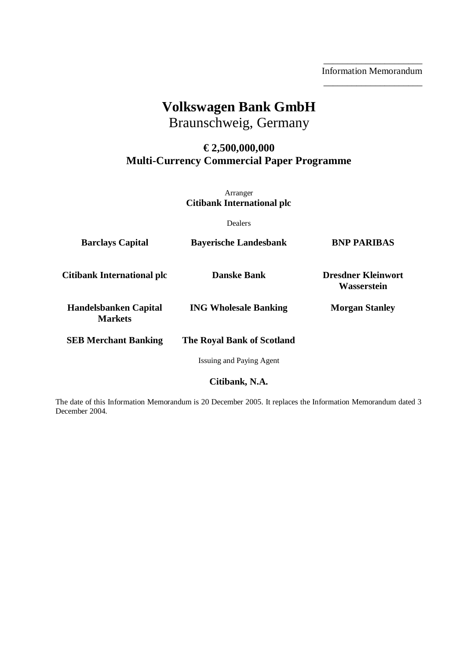\_\_\_\_\_\_\_\_\_\_\_\_\_\_\_\_\_\_\_\_\_ Information Memorandum \_\_\_\_\_\_\_\_\_\_\_\_\_\_\_\_\_\_\_\_\_

# **Volkswagen Bank GmbH**

Braunschweig, Germany

# **€ 2,500,000,000 Multi-Currency Commercial Paper Programme**

Arranger **Citibank International plc** 

Dealers

| <b>Barclays Capital</b>                        | <b>Bayerische Landesbank</b> | <b>BNP PARIBAS</b>                       |
|------------------------------------------------|------------------------------|------------------------------------------|
| Citibank International plc                     | <b>Danske Bank</b>           | <b>Dresdner Kleinwort</b><br>Wasserstein |
| <b>Handelsbanken Capital</b><br><b>Markets</b> | <b>ING Wholesale Banking</b> | <b>Morgan Stanley</b>                    |
| <b>SEB Merchant Banking</b>                    | The Royal Bank of Scotland   |                                          |
|                                                | Issuing and Paying Agent     |                                          |

**Citibank, N.A.** 

The date of this Information Memorandum is 20 December 2005. It replaces the Information Memorandum dated 3 December 2004.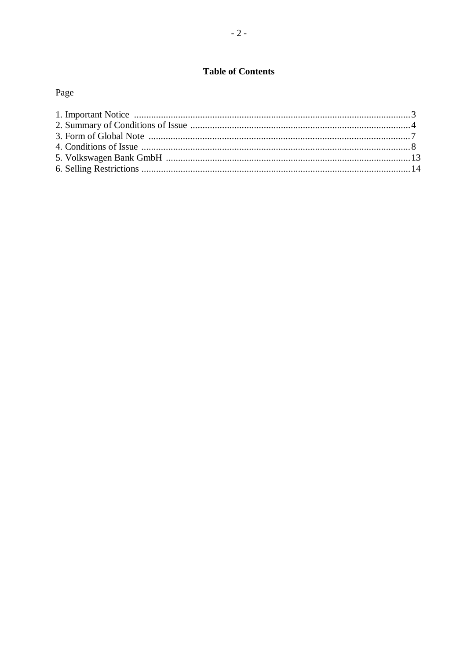# **Table of Contents**

# Page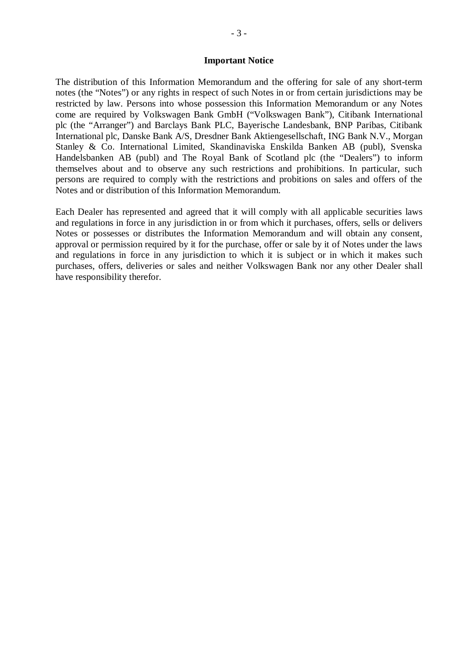#### **Important Notice**

The distribution of this Information Memorandum and the offering for sale of any short-term notes (the "Notes") or any rights in respect of such Notes in or from certain jurisdictions may be restricted by law. Persons into whose possession this Information Memorandum or any Notes come are required by Volkswagen Bank GmbH ("Volkswagen Bank"), Citibank International plc (the "Arranger") and Barclays Bank PLC, Bayerische Landesbank, BNP Paribas, Citibank International plc, Danske Bank A/S, Dresdner Bank Aktiengesellschaft, ING Bank N.V., Morgan Stanley & Co. International Limited, Skandinaviska Enskilda Banken AB (publ), Svenska Handelsbanken AB (publ) and The Royal Bank of Scotland plc (the "Dealers") to inform themselves about and to observe any such restrictions and prohibitions. In particular, such persons are required to comply with the restrictions and probitions on sales and offers of the Notes and or distribution of this Information Memorandum.

Each Dealer has represented and agreed that it will comply with all applicable securities laws and regulations in force in any jurisdiction in or from which it purchases, offers, sells or delivers Notes or possesses or distributes the Information Memorandum and will obtain any consent, approval or permission required by it for the purchase, offer or sale by it of Notes under the laws and regulations in force in any jurisdiction to which it is subject or in which it makes such purchases, offers, deliveries or sales and neither Volkswagen Bank nor any other Dealer shall have responsibility therefor.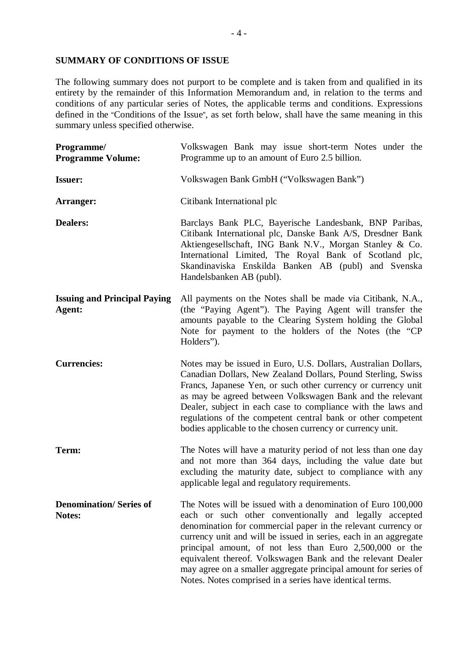# **SUMMARY OF CONDITIONS OF ISSUE**

The following summary does not purport to be complete and is taken from and qualified in its entirety by the remainder of this Information Memorandum and, in relation to the terms and conditions of any particular series of Notes, the applicable terms and conditions. Expressions defined in the "Conditions of the Issue", as set forth below, shall have the same meaning in this summary unless specified otherwise.

| Programme/<br><b>Programme Volume:</b>        | Volkswagen Bank may issue short-term Notes under the<br>Programme up to an amount of Euro 2.5 billion.                                                                                                                                                                                                                                                                                                                                                                                                                |  |
|-----------------------------------------------|-----------------------------------------------------------------------------------------------------------------------------------------------------------------------------------------------------------------------------------------------------------------------------------------------------------------------------------------------------------------------------------------------------------------------------------------------------------------------------------------------------------------------|--|
| <b>Issuer:</b>                                | Volkswagen Bank GmbH ("Volkswagen Bank")                                                                                                                                                                                                                                                                                                                                                                                                                                                                              |  |
| Arranger:                                     | Citibank International plc                                                                                                                                                                                                                                                                                                                                                                                                                                                                                            |  |
| <b>Dealers:</b>                               | Barclays Bank PLC, Bayerische Landesbank, BNP Paribas,<br>Citibank International plc, Danske Bank A/S, Dresdner Bank<br>Aktiengesellschaft, ING Bank N.V., Morgan Stanley & Co.<br>International Limited, The Royal Bank of Scotland plc,<br>Skandinaviska Enskilda Banken AB (publ) and Svenska<br>Handelsbanken AB (publ).                                                                                                                                                                                          |  |
| <b>Issuing and Principal Paying</b><br>Agent: | All payments on the Notes shall be made via Citibank, N.A.,<br>(the "Paying Agent"). The Paying Agent will transfer the<br>amounts payable to the Clearing System holding the Global<br>Note for payment to the holders of the Notes (the "CP<br>Holders").                                                                                                                                                                                                                                                           |  |
| <b>Currencies:</b>                            | Notes may be issued in Euro, U.S. Dollars, Australian Dollars,<br>Canadian Dollars, New Zealand Dollars, Pound Sterling, Swiss<br>Francs, Japanese Yen, or such other currency or currency unit<br>as may be agreed between Volkswagen Bank and the relevant<br>Dealer, subject in each case to compliance with the laws and<br>regulations of the competent central bank or other competent<br>bodies applicable to the chosen currency or currency unit.                                                            |  |
| Term:                                         | The Notes will have a maturity period of not less than one day<br>and not more than 364 days, including the value date but<br>excluding the maturity date, subject to compliance with any<br>applicable legal and regulatory requirements.                                                                                                                                                                                                                                                                            |  |
| <b>Denomination/Series of</b><br>Notes:       | The Notes will be issued with a denomination of Euro 100,000<br>each or such other conventionally and legally accepted<br>denomination for commercial paper in the relevant currency or<br>currency unit and will be issued in series, each in an aggregate<br>principal amount, of not less than Euro 2,500,000 or the<br>equivalent thereof. Volkswagen Bank and the relevant Dealer<br>may agree on a smaller aggregate principal amount for series of<br>Notes. Notes comprised in a series have identical terms. |  |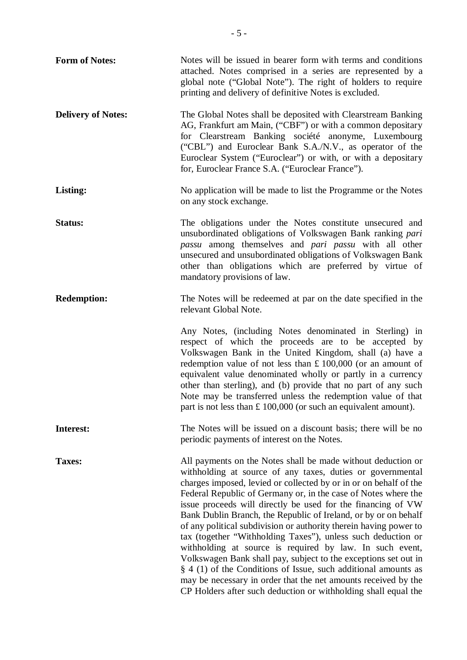| <b>Form of Notes:</b>     | Notes will be issued in bearer form with terms and conditions<br>attached. Notes comprised in a series are represented by a<br>global note ("Global Note"). The right of holders to require<br>printing and delivery of definitive Notes is excluded.                                                                                                                                                                                                                                                                                                                                                                                                                                                                                                                                                                                                                             |
|---------------------------|-----------------------------------------------------------------------------------------------------------------------------------------------------------------------------------------------------------------------------------------------------------------------------------------------------------------------------------------------------------------------------------------------------------------------------------------------------------------------------------------------------------------------------------------------------------------------------------------------------------------------------------------------------------------------------------------------------------------------------------------------------------------------------------------------------------------------------------------------------------------------------------|
| <b>Delivery of Notes:</b> | The Global Notes shall be deposited with Clearstream Banking<br>AG, Frankfurt am Main, ("CBF") or with a common depositary<br>for Clearstream Banking société anonyme, Luxembourg<br>("CBL") and Euroclear Bank S.A./N.V., as operator of the<br>Euroclear System ("Euroclear") or with, or with a depositary<br>for, Euroclear France S.A. ("Euroclear France").                                                                                                                                                                                                                                                                                                                                                                                                                                                                                                                 |
| Listing:                  | No application will be made to list the Programme or the Notes<br>on any stock exchange.                                                                                                                                                                                                                                                                                                                                                                                                                                                                                                                                                                                                                                                                                                                                                                                          |
| <b>Status:</b>            | The obligations under the Notes constitute unsecured and<br>unsubordinated obligations of Volkswagen Bank ranking pari<br>passu among themselves and pari passu with all other<br>unsecured and unsubordinated obligations of Volkswagen Bank<br>other than obligations which are preferred by virtue of<br>mandatory provisions of law.                                                                                                                                                                                                                                                                                                                                                                                                                                                                                                                                          |
| <b>Redemption:</b>        | The Notes will be redeemed at par on the date specified in the<br>relevant Global Note.                                                                                                                                                                                                                                                                                                                                                                                                                                                                                                                                                                                                                                                                                                                                                                                           |
|                           | Any Notes, (including Notes denominated in Sterling) in<br>respect of which the proceeds are to be accepted by<br>Volkswagen Bank in the United Kingdom, shall (a) have a<br>redemption value of not less than $£ 100,000$ (or an amount of<br>equivalent value denominated wholly or partly in a currency<br>other than sterling), and (b) provide that no part of any such<br>Note may be transferred unless the redemption value of that<br>part is not less than $£ 100,000$ (or such an equivalent amount).                                                                                                                                                                                                                                                                                                                                                                  |
| Interest:                 | The Notes will be issued on a discount basis; there will be no<br>periodic payments of interest on the Notes.                                                                                                                                                                                                                                                                                                                                                                                                                                                                                                                                                                                                                                                                                                                                                                     |
| Taxes:                    | All payments on the Notes shall be made without deduction or<br>withholding at source of any taxes, duties or governmental<br>charges imposed, levied or collected by or in or on behalf of the<br>Federal Republic of Germany or, in the case of Notes where the<br>issue proceeds will directly be used for the financing of VW<br>Bank Dublin Branch, the Republic of Ireland, or by or on behalf<br>of any political subdivision or authority therein having power to<br>tax (together "Withholding Taxes"), unless such deduction or<br>withholding at source is required by law. In such event,<br>Volkswagen Bank shall pay, subject to the exceptions set out in<br>$\S$ 4 (1) of the Conditions of Issue, such additional amounts as<br>may be necessary in order that the net amounts received by the<br>CP Holders after such deduction or withholding shall equal the |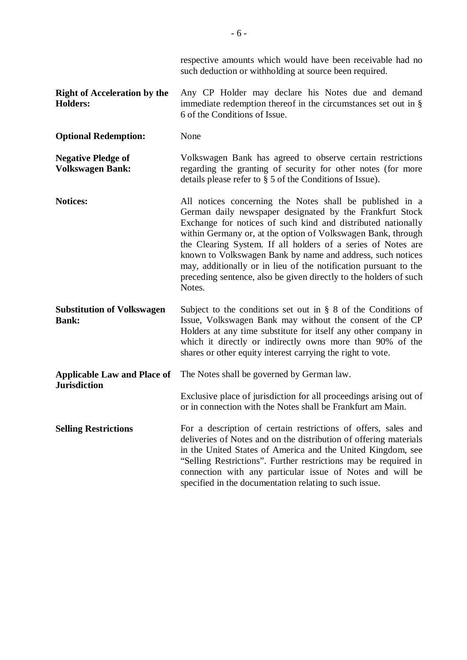respective amounts which would have been receivable had no such deduction or withholding at source been required.

- **Right of Acceleration by the Holders:**  Any CP Holder may declare his Notes due and demand immediate redemption thereof in the circumstances set out in § 6 of the Conditions of Issue.
- **Optional Redemption:** None

**Negative Pledge of Volkswagen Bank:**  Volkswagen Bank has agreed to observe certain restrictions regarding the granting of security for other notes (for more details please refer to § 5 of the Conditions of Issue).

- **Notices:** All notices concerning the Notes shall be published in a German daily newspaper designated by the Frankfurt Stock Exchange for notices of such kind and distributed nationally within Germany or, at the option of Volkswagen Bank, through the Clearing System. If all holders of a series of Notes are known to Volkswagen Bank by name and address, such notices may, additionally or in lieu of the notification pursuant to the preceding sentence, also be given directly to the holders of such Notes.
- **Substitution of Volkswagen Bank:**  Subject to the conditions set out in § 8 of the Conditions of Issue, Volkswagen Bank may without the consent of the CP Holders at any time substitute for itself any other company in which it directly or indirectly owns more than 90% of the shares or other equity interest carrying the right to vote.

**Applicable Law and Place of**  The Notes shall be governed by German law. **Jurisdiction**  Exclusive place of jurisdiction for all proceedings arising out of or in connection with the Notes shall be Frankfurt am Main. **Selling Restrictions For a description of certain restrictions of offers, sales and** deliveries of Notes and on the distribution of offering materials

in the United States of America and the United Kingdom, see "Selling Restrictions". Further restrictions may be required in connection with any particular issue of Notes and will be specified in the documentation relating to such issue.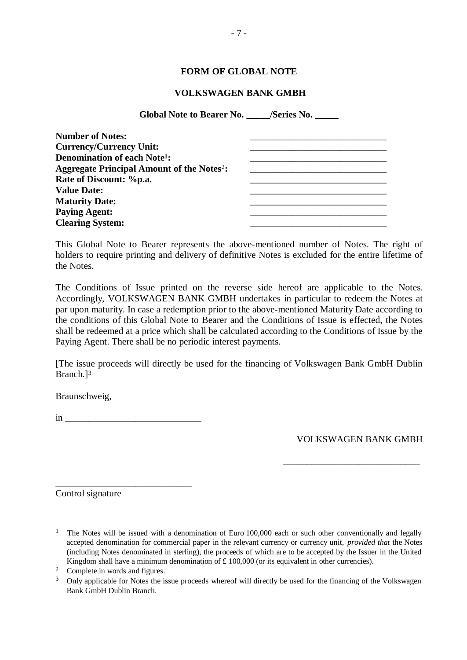# **FORM OF GLOBAL NOTE**

#### **VOLKSWAGEN BANK GMBH**

**Global Note to Bearer No. \_\_\_\_\_/Series No. \_\_\_\_\_** 

| <b>Number of Notes:</b>                                     |  |
|-------------------------------------------------------------|--|
| <b>Currency/Currency Unit:</b>                              |  |
| <b>Denomination of each Note<sup>1</sup>:</b>               |  |
| <b>Aggregate Principal Amount of the Notes<sup>2</sup>:</b> |  |
| Rate of Discount: %p.a.                                     |  |
| <b>Value Date:</b>                                          |  |
| <b>Maturity Date:</b>                                       |  |
| <b>Paying Agent:</b>                                        |  |
| <b>Clearing System:</b>                                     |  |

This Global Note to Bearer represents the above-mentioned number of Notes. The right of holders to require printing and delivery of definitive Notes is excluded for the entire lifetime of the Notes.

The Conditions of Issue printed on the reverse side hereof are applicable to the Notes. Accordingly, VOLKSWAGEN BANK GMBH undertakes in particular to redeem the Notes at par upon maturity. In case a redemption prior to the above-mentioned Maturity Date according to the conditions of this Global Note to Bearer and the Conditions of Issue is effected, the Notes shall be redeemed at a price which shall be calculated according to the Conditions of Issue by the Paying Agent. There shall be no periodic interest payments.

[The issue proceeds will directly be used for the financing of Volkswagen Bank GmbH Dublin Branch.]<sup>3</sup>

Braunschweig,

 $\mathbf{i}$ n  $\mathbf{j}$ 

\_\_\_\_\_\_\_\_\_\_\_\_\_\_\_\_\_\_\_\_\_\_\_\_\_\_\_\_\_

VOLKSWAGEN BANK GMBH

\_\_\_\_\_\_\_\_\_\_\_\_\_\_\_\_\_\_\_\_\_\_\_\_\_\_\_\_\_

Control signature

 $\overline{a}$ 

<sup>1</sup> The Notes will be issued with a denomination of Euro 100,000 each or such other conventionally and legally accepted denomination for commercial paper in the relevant currency or currency unit, *provided that* the Notes (including Notes denominated in sterling), the proceeds of which are to be accepted by the Issuer in the United Kingdom shall have a minimum denomination of  $\pounds$  100,000 (or its equivalent in other currencies).

<sup>2</sup> Complete in words and figures.

<sup>&</sup>lt;sup>3</sup> Only applicable for Notes the issue proceeds whereof will directly be used for the financing of the Volkswagen Bank GmbH Dublin Branch.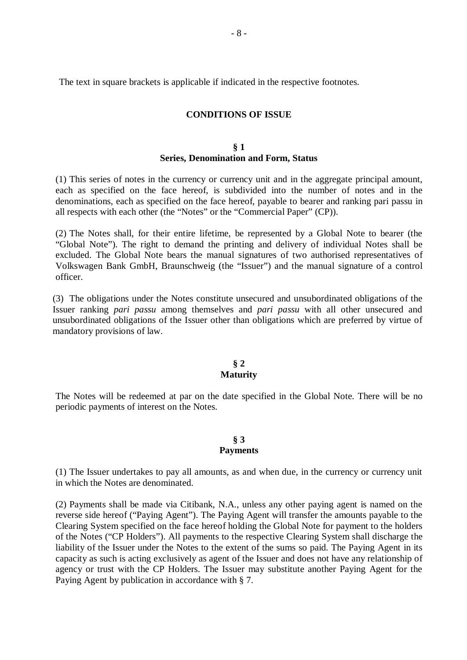The text in square brackets is applicable if indicated in the respective footnotes.

# **CONDITIONS OF ISSUE**

# **§ 1 Series, Denomination and Form, Status**

(1) This series of notes in the currency or currency unit and in the aggregate principal amount, each as specified on the face hereof, is subdivided into the number of notes and in the denominations, each as specified on the face hereof, payable to bearer and ranking pari passu in all respects with each other (the "Notes" or the "Commercial Paper" (CP)).

(2) The Notes shall, for their entire lifetime, be represented by a Global Note to bearer (the "Global Note"). The right to demand the printing and delivery of individual Notes shall be excluded. The Global Note bears the manual signatures of two authorised representatives of Volkswagen Bank GmbH, Braunschweig (the "Issuer") and the manual signature of a control officer.

(3) The obligations under the Notes constitute unsecured and unsubordinated obligations of the Issuer ranking *pari passu* among themselves and *pari passu* with all other unsecured and unsubordinated obligations of the Issuer other than obligations which are preferred by virtue of mandatory provisions of law.

# **§ 2 Maturity**

The Notes will be redeemed at par on the date specified in the Global Note. There will be no periodic payments of interest on the Notes.

#### **§ 3 Payments**

(1) The Issuer undertakes to pay all amounts, as and when due, in the currency or currency unit in which the Notes are denominated.

(2) Payments shall be made via Citibank, N.A., unless any other paying agent is named on the reverse side hereof ("Paying Agent"). The Paying Agent will transfer the amounts payable to the Clearing System specified on the face hereof holding the Global Note for payment to the holders of the Notes ("CP Holders"). All payments to the respective Clearing System shall discharge the liability of the Issuer under the Notes to the extent of the sums so paid. The Paying Agent in its capacity as such is acting exclusively as agent of the Issuer and does not have any relationship of agency or trust with the CP Holders. The Issuer may substitute another Paying Agent for the Paying Agent by publication in accordance with § 7.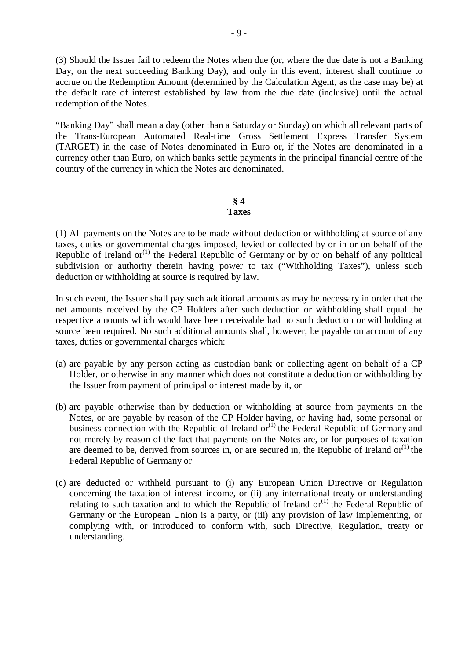(3) Should the Issuer fail to redeem the Notes when due (or, where the due date is not a Banking Day, on the next succeeding Banking Day), and only in this event, interest shall continue to accrue on the Redemption Amount (determined by the Calculation Agent, as the case may be) at the default rate of interest established by law from the due date (inclusive) until the actual redemption of the Notes.

"Banking Day" shall mean a day (other than a Saturday or Sunday) on which all relevant parts of the Trans-European Automated Real-time Gross Settlement Express Transfer System (TARGET) in the case of Notes denominated in Euro or, if the Notes are denominated in a currency other than Euro, on which banks settle payments in the principal financial centre of the country of the currency in which the Notes are denominated.

#### **§ 4 Taxes**

(1) All payments on the Notes are to be made without deduction or withholding at source of any taxes, duties or governmental charges imposed, levied or collected by or in or on behalf of the Republic of Ireland  $or^{(1)}$  the Federal Republic of Germany or by or on behalf of any political subdivision or authority therein having power to tax ("Withholding Taxes"), unless such deduction or withholding at source is required by law.

In such event, the Issuer shall pay such additional amounts as may be necessary in order that the net amounts received by the CP Holders after such deduction or withholding shall equal the respective amounts which would have been receivable had no such deduction or withholding at source been required. No such additional amounts shall, however, be payable on account of any taxes, duties or governmental charges which:

- (a) are payable by any person acting as custodian bank or collecting agent on behalf of a CP Holder, or otherwise in any manner which does not constitute a deduction or withholding by the Issuer from payment of principal or interest made by it, or
- (b) are payable otherwise than by deduction or withholding at source from payments on the Notes, or are payable by reason of the CP Holder having, or having had, some personal or business connection with the Republic of Ireland or<sup>(1)</sup> the Federal Republic of Germany and not merely by reason of the fact that payments on the Notes are, or for purposes of taxation are deemed to be, derived from sources in, or are secured in, the Republic of Ireland  $or^{(1)}$  the Federal Republic of Germany or
- (c) are deducted or withheld pursuant to (i) any European Union Directive or Regulation concerning the taxation of interest income, or (ii) any international treaty or understanding relating to such taxation and to which the Republic of Ireland or<sup>(1)</sup> the Federal Republic of Germany or the European Union is a party, or (iii) any provision of law implementing, or complying with, or introduced to conform with, such Directive, Regulation, treaty or understanding.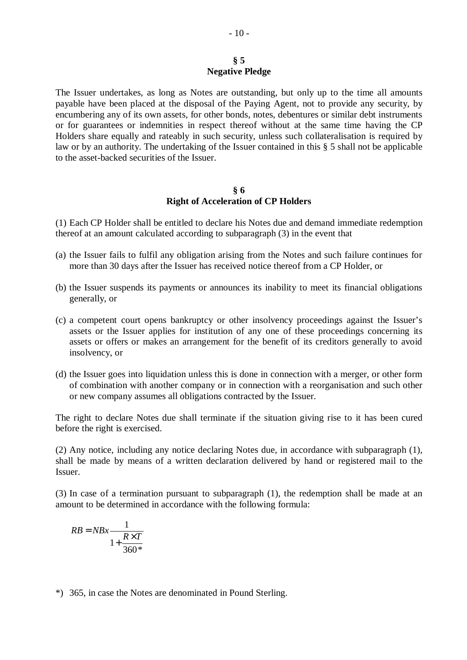# **§ 5 Negative Pledge**

The Issuer undertakes, as long as Notes are outstanding, but only up to the time all amounts payable have been placed at the disposal of the Paying Agent, not to provide any security, by encumbering any of its own assets, for other bonds, notes, debentures or similar debt instruments or for guarantees or indemnities in respect thereof without at the same time having the CP Holders share equally and rateably in such security, unless such collateralisation is required by law or by an authority. The undertaking of the Issuer contained in this § 5 shall not be applicable to the asset-backed securities of the Issuer.

# **§ 6 Right of Acceleration of CP Holders**

(1) Each CP Holder shall be entitled to declare his Notes due and demand immediate redemption thereof at an amount calculated according to subparagraph (3) in the event that

- (a) the Issuer fails to fulfil any obligation arising from the Notes and such failure continues for more than 30 days after the Issuer has received notice thereof from a CP Holder, or
- (b) the Issuer suspends its payments or announces its inability to meet its financial obligations generally, or
- (c) a competent court opens bankruptcy or other insolvency proceedings against the Issuer's assets or the Issuer applies for institution of any one of these proceedings concerning its assets or offers or makes an arrangement for the benefit of its creditors generally to avoid insolvency, or
- (d) the Issuer goes into liquidation unless this is done in connection with a merger, or other form of combination with another company or in connection with a reorganisation and such other or new company assumes all obligations contracted by the Issuer.

The right to declare Notes due shall terminate if the situation giving rise to it has been cured before the right is exercised.

(2) Any notice, including any notice declaring Notes due, in accordance with subparagraph (1), shall be made by means of a written declaration delivered by hand or registered mail to the Issuer.

(3) In case of a termination pursuant to subparagraph (1), the redemption shall be made at an amount to be determined in accordance with the following formula:

$$
RB = NBx \frac{1}{1 + \frac{R \times T}{360^*}}
$$

\*) 365, in case the Notes are denominated in Pound Sterling.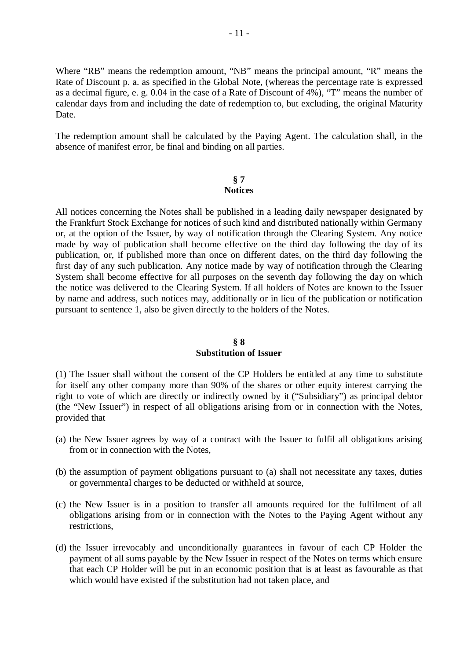Where "RB" means the redemption amount, "NB" means the principal amount, "R" means the Rate of Discount p. a. as specified in the Global Note, (whereas the percentage rate is expressed as a decimal figure, e. g. 0.04 in the case of a Rate of Discount of 4%), "T" means the number of calendar days from and including the date of redemption to, but excluding, the original Maturity Date.

The redemption amount shall be calculated by the Paying Agent. The calculation shall, in the absence of manifest error, be final and binding on all parties.

#### **§ 7 Notices**

All notices concerning the Notes shall be published in a leading daily newspaper designated by the Frankfurt Stock Exchange for notices of such kind and distributed nationally within Germany or, at the option of the Issuer, by way of notification through the Clearing System. Any notice made by way of publication shall become effective on the third day following the day of its publication, or, if published more than once on different dates, on the third day following the first day of any such publication. Any notice made by way of notification through the Clearing System shall become effective for all purposes on the seventh day following the day on which the notice was delivered to the Clearing System. If all holders of Notes are known to the Issuer by name and address, such notices may, additionally or in lieu of the publication or notification pursuant to sentence 1, also be given directly to the holders of the Notes.

# **§ 8 Substitution of Issuer**

(1) The Issuer shall without the consent of the CP Holders be entitled at any time to substitute for itself any other company more than 90% of the shares or other equity interest carrying the right to vote of which are directly or indirectly owned by it ("Subsidiary") as principal debtor (the "New Issuer") in respect of all obligations arising from or in connection with the Notes, provided that

- (a) the New Issuer agrees by way of a contract with the Issuer to fulfil all obligations arising from or in connection with the Notes,
- (b) the assumption of payment obligations pursuant to (a) shall not necessitate any taxes, duties or governmental charges to be deducted or withheld at source,
- (c) the New Issuer is in a position to transfer all amounts required for the fulfilment of all obligations arising from or in connection with the Notes to the Paying Agent without any restrictions,
- (d) the Issuer irrevocably and unconditionally guarantees in favour of each CP Holder the payment of all sums payable by the New Issuer in respect of the Notes on terms which ensure that each CP Holder will be put in an economic position that is at least as favourable as that which would have existed if the substitution had not taken place, and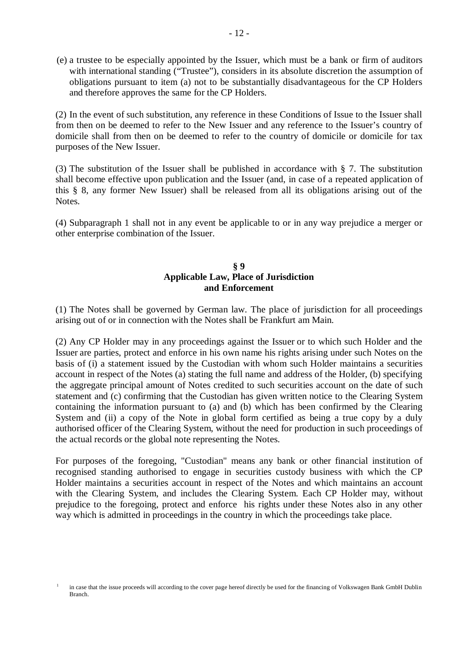(e) a trustee to be especially appointed by the Issuer, which must be a bank or firm of auditors with international standing ("Trustee"), considers in its absolute discretion the assumption of obligations pursuant to item (a) not to be substantially disadvantageous for the CP Holders and therefore approves the same for the CP Holders.

(2) In the event of such substitution, any reference in these Conditions of Issue to the Issuer shall from then on be deemed to refer to the New Issuer and any reference to the Issuer's country of domicile shall from then on be deemed to refer to the country of domicile or domicile for tax purposes of the New Issuer.

(3) The substitution of the Issuer shall be published in accordance with § 7. The substitution shall become effective upon publication and the Issuer (and, in case of a repeated application of this § 8, any former New Issuer) shall be released from all its obligations arising out of the Notes.

(4) Subparagraph 1 shall not in any event be applicable to or in any way prejudice a merger or other enterprise combination of the Issuer.

# **§ 9 Applicable Law, Place of Jurisdiction and Enforcement**

(1) The Notes shall be governed by German law. The place of jurisdiction for all proceedings arising out of or in connection with the Notes shall be Frankfurt am Main.

(2) Any CP Holder may in any proceedings against the Issuer or to which such Holder and the Issuer are parties, protect and enforce in his own name his rights arising under such Notes on the basis of (i) a statement issued by the Custodian with whom such Holder maintains a securities account in respect of the Notes (a) stating the full name and address of the Holder, (b) specifying the aggregate principal amount of Notes credited to such securities account on the date of such statement and (c) confirming that the Custodian has given written notice to the Clearing System containing the information pursuant to (a) and (b) which has been confirmed by the Clearing System and (ii) a copy of the Note in global form certified as being a true copy by a duly authorised officer of the Clearing System, without the need for production in such proceedings of the actual records or the global note representing the Notes.

For purposes of the foregoing, "Custodian" means any bank or other financial institution of recognised standing authorised to engage in securities custody business with which the CP Holder maintains a securities account in respect of the Notes and which maintains an account with the Clearing System, and includes the Clearing System. Each CP Holder may, without prejudice to the foregoing, protect and enforce his rights under these Notes also in any other way which is admitted in proceedings in the country in which the proceedings take place.

<sup>1</sup> in case that the issue proceeds will according to the cover page hereof directly be used for the financing of Volkswagen Bank GmbH Dublin Branch.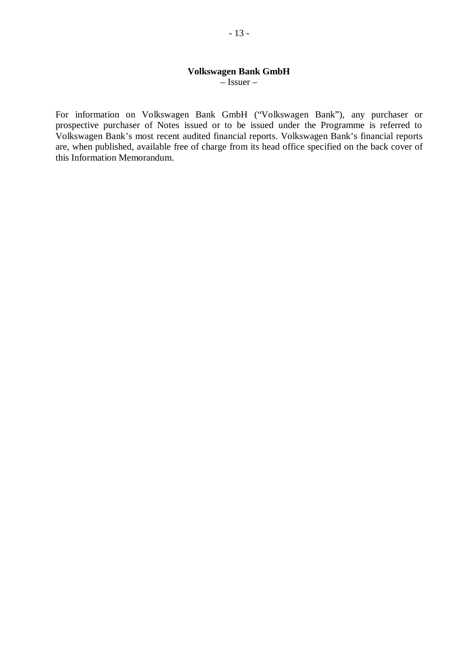# **Volkswagen Bank GmbH**

 $\overline{\phantom{a}}$ – Issuer –

For information on Volkswagen Bank GmbH ("Volkswagen Bank"), any purchaser or prospective purchaser of Notes issued or to be issued under the Programme is referred to Volkswagen Bank's most recent audited financial reports. Volkswagen Bank's financial reports are, when published, available free of charge from its head office specified on the back cover of this Information Memorandum.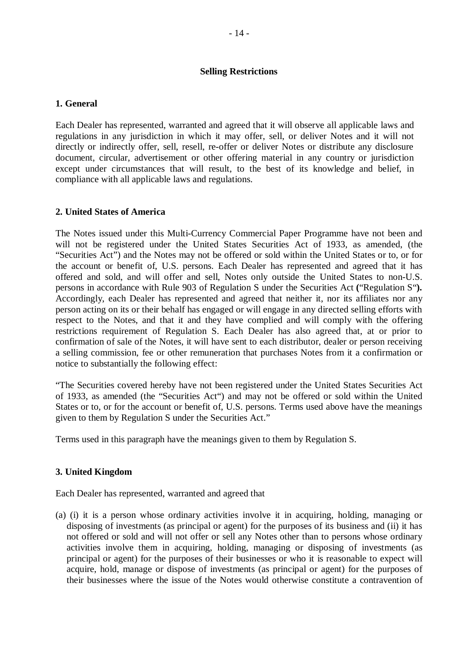#### **Selling Restrictions**

# **1. General**

Each Dealer has represented, warranted and agreed that it will observe all applicable laws and regulations in any jurisdiction in which it may offer, sell, or deliver Notes and it will not directly or indirectly offer, sell, resell, re-offer or deliver Notes or distribute any disclosure document, circular, advertisement or other offering material in any country or jurisdiction except under circumstances that will result, to the best of its knowledge and belief, in compliance with all applicable laws and regulations.

# **2. United States of America**

The Notes issued under this Multi-Currency Commercial Paper Programme have not been and will not be registered under the United States Securities Act of 1933, as amended, (the "Securities Act") and the Notes may not be offered or sold within the United States or to, or for the account or benefit of, U.S. persons. Each Dealer has represented and agreed that it has offered and sold, and will offer and sell, Notes only outside the United States to non-U.S. persons in accordance with Rule 903 of Regulation S under the Securities Act **(**"Regulation S"**).**  Accordingly, each Dealer has represented and agreed that neither it, nor its affiliates nor any person acting on its or their behalf has engaged or will engage in any directed selling efforts with respect to the Notes, and that it and they have complied and will comply with the offering restrictions requirement of Regulation S. Each Dealer has also agreed that, at or prior to confirmation of sale of the Notes, it will have sent to each distributor, dealer or person receiving a selling commission, fee or other remuneration that purchases Notes from it a confirmation or notice to substantially the following effect:

"The Securities covered hereby have not been registered under the United States Securities Act of 1933, as amended (the "Securities Act") and may not be offered or sold within the United States or to, or for the account or benefit of, U.S. persons. Terms used above have the meanings given to them by Regulation S under the Securities Act."

Terms used in this paragraph have the meanings given to them by Regulation S.

# **3. United Kingdom**

Each Dealer has represented, warranted and agreed that

(a) (i) it is a person whose ordinary activities involve it in acquiring, holding, managing or disposing of investments (as principal or agent) for the purposes of its business and (ii) it has not offered or sold and will not offer or sell any Notes other than to persons whose ordinary activities involve them in acquiring, holding, managing or disposing of investments (as principal or agent) for the purposes of their businesses or who it is reasonable to expect will acquire, hold, manage or dispose of investments (as principal or agent) for the purposes of their businesses where the issue of the Notes would otherwise constitute a contravention of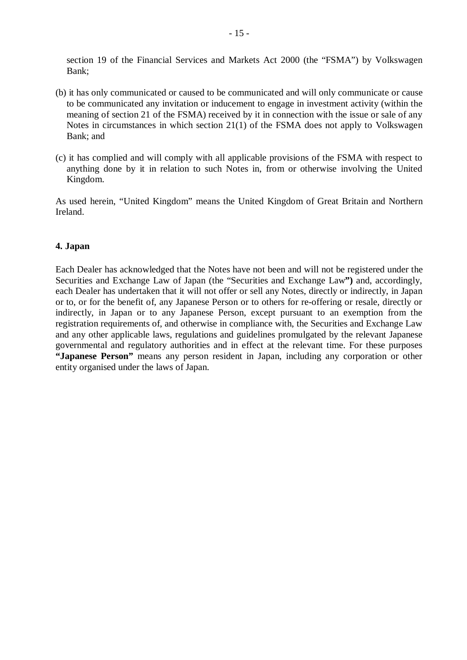section 19 of the Financial Services and Markets Act 2000 (the "FSMA") by Volkswagen Bank;

- (b) it has only communicated or caused to be communicated and will only communicate or cause to be communicated any invitation or inducement to engage in investment activity (within the meaning of section 21 of the FSMA) received by it in connection with the issue or sale of any Notes in circumstances in which section 21(1) of the FSMA does not apply to Volkswagen Bank; and
- (c) it has complied and will comply with all applicable provisions of the FSMA with respect to anything done by it in relation to such Notes in, from or otherwise involving the United Kingdom.

As used herein, "United Kingdom" means the United Kingdom of Great Britain and Northern Ireland.

# **4. Japan**

Each Dealer has acknowledged that the Notes have not been and will not be registered under the Securities and Exchange Law of Japan (the "Securities and Exchange Law**")** and, accordingly, each Dealer has undertaken that it will not offer or sell any Notes, directly or indirectly, in Japan or to, or for the benefit of, any Japanese Person or to others for re-offering or resale, directly or indirectly, in Japan or to any Japanese Person, except pursuant to an exemption from the registration requirements of, and otherwise in compliance with, the Securities and Exchange Law and any other applicable laws, regulations and guidelines promulgated by the relevant Japanese governmental and regulatory authorities and in effect at the relevant time. For these purposes **"Japanese Person"** means any person resident in Japan, including any corporation or other entity organised under the laws of Japan.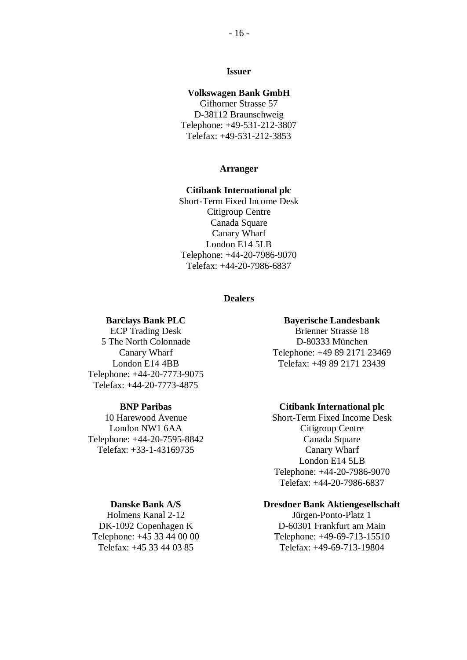#### **Issuer**

#### **Volkswagen Bank GmbH**

Gifhorner Strasse 57 D-38112 Braunschweig Telephone: +49-531-212-3807 Telefax: +49-531-212-3853

#### **Arranger**

# **Citibank International plc**

Short-Term Fixed Income Desk Citigroup Centre Canada Square Canary Wharf London E14 5LB Telephone: +44-20-7986-9070 Telefax: +44-20-7986-6837

#### **Dealers**

#### **Barclays Bank PLC**

ECP Trading Desk 5 The North Colonnade Canary Wharf London E14 4BB Telephone: +44-20-7773-9075 Telefax: +44-20-7773-4875

#### **BNP Paribas**

10 Harewood Avenue London NW1 6AA Telephone: +44-20-7595-8842 Telefax: +33-1-43169735

#### **Bayerische Landesbank**

Brienner Strasse 18 D-80333 München Telephone: +49 89 2171 23469 Telefax: +49 89 2171 23439

#### **Citibank International plc**

Short-Term Fixed Income Desk Citigroup Centre Canada Square Canary Wharf London E14 5LB Telephone: +44-20-7986-9070 Telefax: +44-20-7986-6837

#### **Dresdner Bank Aktiengesellschaft**

Jürgen-Ponto-Platz 1 D-60301 Frankfurt am Main Telephone: +49-69-713-15510 Telefax: +49-69-713-19804

**Danske Bank A/S** 

Holmens Kanal 2-12 DK-1092 Copenhagen K Telephone: +45 33 44 00 00 Telefax: +45 33 44 03 85